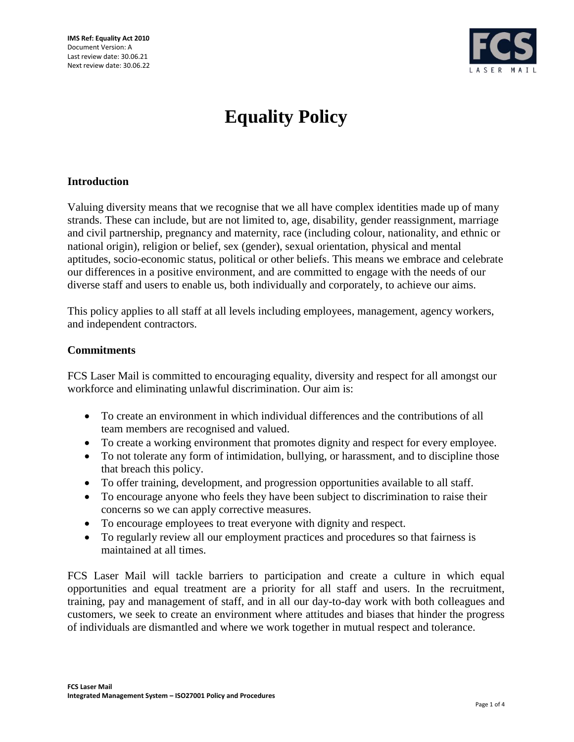

# **Equality Policy**

## **Introduction**

Valuing diversity means that we recognise that we all have complex identities made up of many strands. These can include, but are not limited to, age, disability, gender reassignment, marriage and civil partnership, pregnancy and maternity, race (including colour, nationality, and ethnic or national origin), religion or belief, sex (gender), sexual orientation, physical and mental aptitudes, socio-economic status, political or other beliefs. This means we embrace and celebrate our differences in a positive environment, and are committed to engage with the needs of our diverse staff and users to enable us, both individually and corporately, to achieve our aims.

This policy applies to all staff at all levels including employees, management, agency workers, and independent contractors.

### **Commitments**

FCS Laser Mail is committed to encouraging equality, diversity and respect for all amongst our workforce and eliminating unlawful discrimination. Our aim is:

- To create an environment in which individual differences and the contributions of all team members are recognised and valued.
- To create a working environment that promotes dignity and respect for every employee.
- To not tolerate any form of intimidation, bullying, or harassment, and to discipline those that breach this policy.
- To offer training, development, and progression opportunities available to all staff.
- To encourage anyone who feels they have been subject to discrimination to raise their concerns so we can apply corrective measures.
- To encourage employees to treat everyone with dignity and respect.
- To regularly review all our employment practices and procedures so that fairness is maintained at all times.

FCS Laser Mail will tackle barriers to participation and create a culture in which equal opportunities and equal treatment are a priority for all staff and users. In the recruitment, training, pay and management of staff, and in all our day-to-day work with both colleagues and customers, we seek to create an environment where attitudes and biases that hinder the progress of individuals are dismantled and where we work together in mutual respect and tolerance.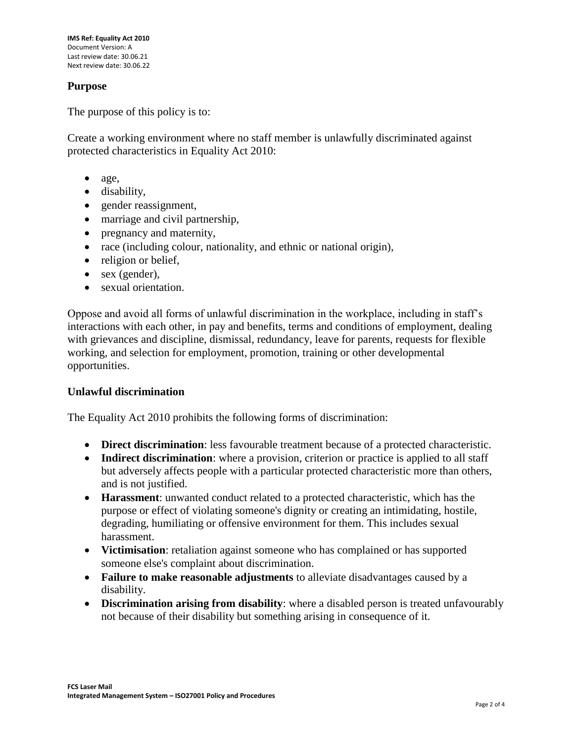## **Purpose**

The purpose of this policy is to:

Create a working environment where no staff member is unlawfully discriminated against protected characteristics in Equality Act 2010:

- age,
- disability,
- gender reassignment,
- marriage and civil partnership,
- pregnancy and maternity,
- race (including colour, nationality, and ethnic or national origin),
- religion or belief,
- sex (gender),
- sexual orientation.

Oppose and avoid all forms of unlawful discrimination in the workplace, including in staff's interactions with each other, in pay and benefits, terms and conditions of employment, dealing with grievances and discipline, dismissal, redundancy, leave for parents, requests for flexible working, and selection for employment, promotion, training or other developmental opportunities.

## **Unlawful discrimination**

The Equality Act 2010 prohibits the following forms of discrimination:

- **Direct discrimination**: less favourable treatment because of a protected characteristic.
- **Indirect discrimination**: where a provision, criterion or practice is applied to all staff but adversely affects people with a particular protected characteristic more than others, and is not justified.
- **Harassment**: unwanted conduct related to a protected characteristic, which has the purpose or effect of violating someone's dignity or creating an intimidating, hostile, degrading, humiliating or offensive environment for them. This includes sexual harassment.
- **Victimisation**: retaliation against someone who has complained or has supported someone else's complaint about discrimination.
- **Failure to make reasonable adjustments** to alleviate disadvantages caused by a disability.
- **Discrimination arising from disability**: where a disabled person is treated unfavourably not because of their disability but something arising in consequence of it.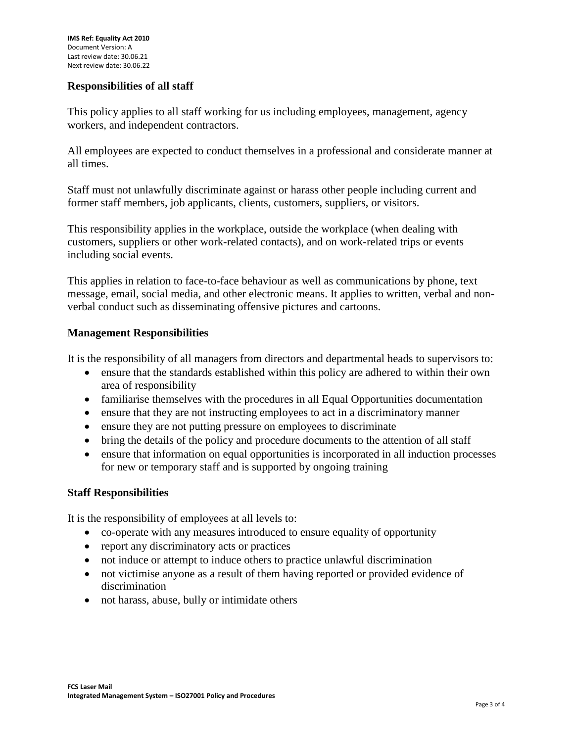## **Responsibilities of all staff**

This policy applies to all staff working for us including employees, management, agency workers, and independent contractors.

All employees are expected to conduct themselves in a professional and considerate manner at all times.

Staff must not unlawfully discriminate against or harass other people including current and former staff members, job applicants, clients, customers, suppliers, or visitors.

This responsibility applies in the workplace, outside the workplace (when dealing with customers, suppliers or other work-related contacts), and on work-related trips or events including social events.

This applies in relation to face-to-face behaviour as well as communications by phone, text message, email, social media, and other electronic means. It applies to written, verbal and nonverbal conduct such as disseminating offensive pictures and cartoons.

### **Management Responsibilities**

It is the responsibility of all managers from directors and departmental heads to supervisors to:

- ensure that the standards established within this policy are adhered to within their own area of responsibility
- familiarise themselves with the procedures in all Equal Opportunities documentation
- ensure that they are not instructing employees to act in a discriminatory manner
- ensure they are not putting pressure on employees to discriminate
- bring the details of the policy and procedure documents to the attention of all staff
- ensure that information on equal opportunities is incorporated in all induction processes for new or temporary staff and is supported by ongoing training

## **Staff Responsibilities**

It is the responsibility of employees at all levels to:

- co-operate with any measures introduced to ensure equality of opportunity
- report any discriminatory acts or practices
- not induce or attempt to induce others to practice unlawful discrimination
- not victimise anyone as a result of them having reported or provided evidence of discrimination
- not harass, abuse, bully or intimidate others